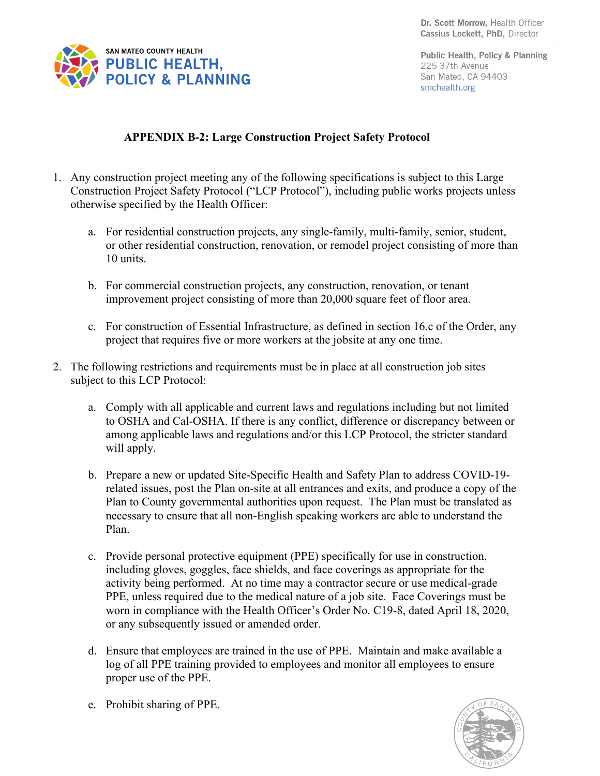

Public Health, Policy & Planning 225 37th Avenue San Mateo, CA 94403 smchealth.org

## **APPENDIX B-2: Large Construction Project Safety Protocol**

- 1. Any construction project meeting any of the following specifications is subject to this Large Construction Project Safety Protocol ("LCP Protocol"), including public works projects unless otherwise specified by the Health Officer:
	- a. For residential construction projects, any single-family, multi-family, senior, student, or other residential construction, renovation, or remodel project consisting of more than 10 units.
	- b. For commercial construction projects, any construction, renovation, or tenant improvement project consisting of more than 20,000 square feet of floor area.
	- c. For construction of Essential Infrastructure, as defined in section 16.c of the Order, any project that requires five or more workers at the jobsite at any one time.
- 2. The following restrictions and requirements must be in place at all construction job sites subject to this LCP Protocol:
	- a. Comply with all applicable and current laws and regulations including but not limited to OSHA and Cal-OSHA. If there is any conflict, difference or discrepancy between or among applicable laws and regulations and/or this LCP Protocol, the stricter standard will apply.
	- b. Prepare a new or updated Site-Specific Health and Safety Plan to address COVID-19 related issues, post the Plan on-site at all entrances and exits, and produce a copy of the Plan to County governmental authorities upon request. The Plan must be translated as necessary to ensure that all non-English speaking workers are able to understand the Plan.
	- c. Provide personal protective equipment (PPE) specifically for use in construction, including gloves, goggles, face shields, and face coverings as appropriate for the activity being performed. At no time may a contractor secure or use medical-grade PPE, unless required due to the medical nature of a job site. Face Coverings must be worn in compliance with the Health Officer's Order No. C19-8, dated April 18, 2020, or any subsequently issued or amended order.
	- d. Ensure that employees are trained in the use of PPE. Maintain and make available a log of all PPE training provided to employees and monitor all employees to ensure proper use of the PPE.
	- e. Prohibit sharing of PPE.

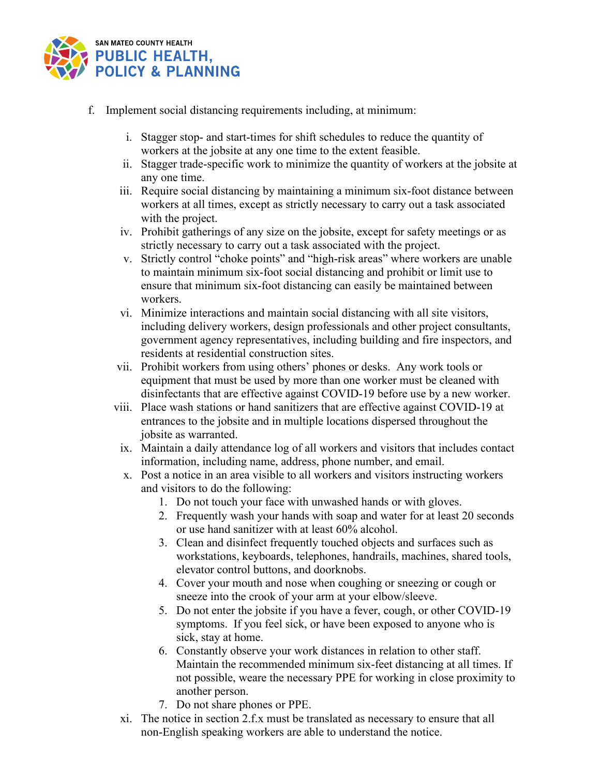

- f. Implement social distancing requirements including, at minimum:
	- i. Stagger stop- and start-times for shift schedules to reduce the quantity of workers at the jobsite at any one time to the extent feasible.
	- ii. Stagger trade-specific work to minimize the quantity of workers at the jobsite at any one time.
	- iii. Require social distancing by maintaining a minimum six-foot distance between workers at all times, except as strictly necessary to carry out a task associated with the project.
	- iv. Prohibit gatherings of any size on the jobsite, except for safety meetings or as strictly necessary to carry out a task associated with the project.
	- v. Strictly control "choke points" and "high-risk areas" where workers are unable to maintain minimum six-foot social distancing and prohibit or limit use to ensure that minimum six-foot distancing can easily be maintained between workers.
	- vi. Minimize interactions and maintain social distancing with all site visitors, including delivery workers, design professionals and other project consultants, government agency representatives, including building and fire inspectors, and residents at residential construction sites.
	- vii. Prohibit workers from using others' phones or desks. Any work tools or equipment that must be used by more than one worker must be cleaned with disinfectants that are effective against COVID-19 before use by a new worker.
	- viii. Place wash stations or hand sanitizers that are effective against COVID-19 at entrances to the jobsite and in multiple locations dispersed throughout the jobsite as warranted.
	- ix. Maintain a daily attendance log of all workers and visitors that includes contact information, including name, address, phone number, and email.
	- x. Post a notice in an area visible to all workers and visitors instructing workers and visitors to do the following:
		- 1. Do not touch your face with unwashed hands or with gloves.
		- 2. Frequently wash your hands with soap and water for at least 20 seconds or use hand sanitizer with at least 60% alcohol.
		- 3. Clean and disinfect frequently touched objects and surfaces such as workstations, keyboards, telephones, handrails, machines, shared tools, elevator control buttons, and doorknobs.
		- 4. Cover your mouth and nose when coughing or sneezing or cough or sneeze into the crook of your arm at your elbow/sleeve.
		- 5. Do not enter the jobsite if you have a fever, cough, or other COVID-19 symptoms. If you feel sick, or have been exposed to anyone who is sick, stay at home.
		- 6. Constantly observe your work distances in relation to other staff. Maintain the recommended minimum six-feet distancing at all times. If not possible, weare the necessary PPE for working in close proximity to another person.
		- 7. Do not share phones or PPE.
	- xi. The notice in section 2.f.x must be translated as necessary to ensure that all non-English speaking workers are able to understand the notice.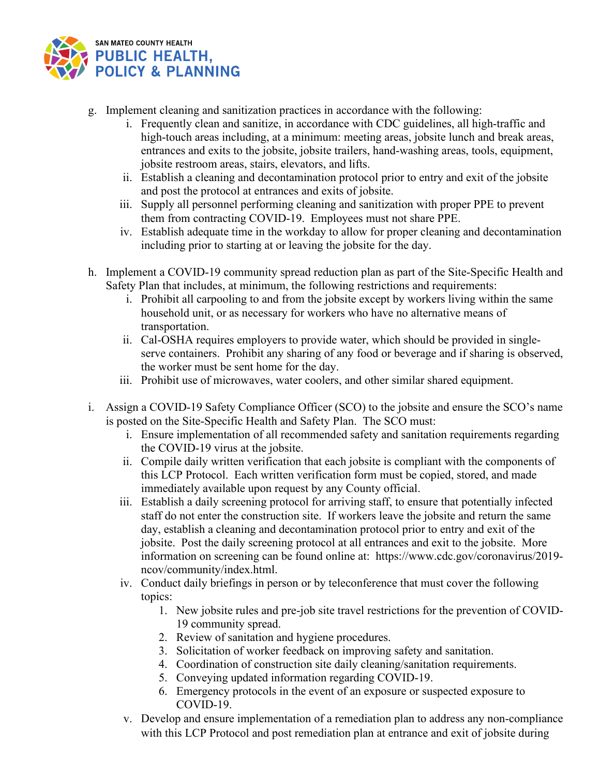

- g. Implement cleaning and sanitization practices in accordance with the following:
	- i. Frequently clean and sanitize, in accordance with CDC guidelines, all high-traffic and high-touch areas including, at a minimum: meeting areas, jobsite lunch and break areas, entrances and exits to the jobsite, jobsite trailers, hand-washing areas, tools, equipment, jobsite restroom areas, stairs, elevators, and lifts.
	- ii. Establish a cleaning and decontamination protocol prior to entry and exit of the jobsite and post the protocol at entrances and exits of jobsite.
	- iii. Supply all personnel performing cleaning and sanitization with proper PPE to prevent them from contracting COVID-19. Employees must not share PPE.
	- iv. Establish adequate time in the workday to allow for proper cleaning and decontamination including prior to starting at or leaving the jobsite for the day.
- h. Implement a COVID-19 community spread reduction plan as part of the Site-Specific Health and Safety Plan that includes, at minimum, the following restrictions and requirements:
	- i. Prohibit all carpooling to and from the jobsite except by workers living within the same household unit, or as necessary for workers who have no alternative means of transportation.
	- ii. Cal-OSHA requires employers to provide water, which should be provided in singleserve containers. Prohibit any sharing of any food or beverage and if sharing is observed, the worker must be sent home for the day.
	- iii. Prohibit use of microwaves, water coolers, and other similar shared equipment.
- i. Assign a COVID-19 Safety Compliance Officer (SCO) to the jobsite and ensure the SCO's name is posted on the Site-Specific Health and Safety Plan. The SCO must:
	- i. Ensure implementation of all recommended safety and sanitation requirements regarding the COVID-19 virus at the jobsite.
	- ii. Compile daily written verification that each jobsite is compliant with the components of this LCP Protocol. Each written verification form must be copied, stored, and made immediately available upon request by any County official.
	- iii. Establish a daily screening protocol for arriving staff, to ensure that potentially infected staff do not enter the construction site. If workers leave the jobsite and return the same day, establish a cleaning and decontamination protocol prior to entry and exit of the jobsite. Post the daily screening protocol at all entrances and exit to the jobsite. More information on screening can be found online at: [https://www.cdc.gov/coronavirus/2019](https://www.cdc.gov/coronavirus/2019-ncov/community/index.html) [ncov/community/index.html.](https://www.cdc.gov/coronavirus/2019-ncov/community/index.html)
	- iv. Conduct daily briefings in person or by teleconference that must cover the following topics:
		- 1. New jobsite rules and pre-job site travel restrictions for the prevention of COVID-19 community spread.
		- 2. Review of sanitation and hygiene procedures.
		- 3. Solicitation of worker feedback on improving safety and sanitation.
		- 4. Coordination of construction site daily cleaning/sanitation requirements.
		- 5. Conveying updated information regarding COVID-19.
		- 6. Emergency protocols in the event of an exposure or suspected exposure to COVID-19.
	- v. Develop and ensure implementation of a remediation plan to address any non-compliance with this LCP Protocol and post remediation plan at entrance and exit of jobsite during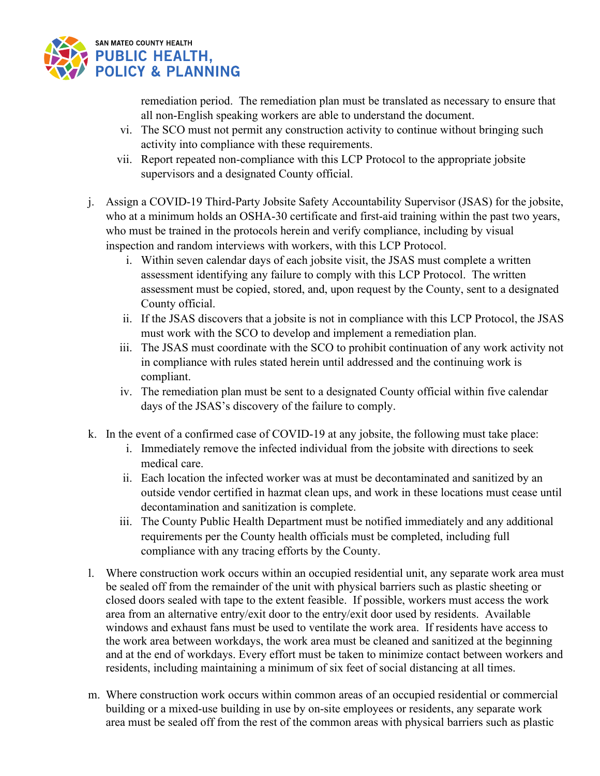

remediation period. The remediation plan must be translated as necessary to ensure that all non-English speaking workers are able to understand the document.

- vi. The SCO must not permit any construction activity to continue without bringing such activity into compliance with these requirements.
- vii. Report repeated non-compliance with this LCP Protocol to the appropriate jobsite supervisors and a designated County official.
- j. Assign a COVID-19 Third-Party Jobsite Safety Accountability Supervisor (JSAS) for the jobsite, who at a minimum holds an OSHA-30 certificate and first-aid training within the past two years, who must be trained in the protocols herein and verify compliance, including by visual inspection and random interviews with workers, with this LCP Protocol.
	- i. Within seven calendar days of each jobsite visit, the JSAS must complete a written assessment identifying any failure to comply with this LCP Protocol. The written assessment must be copied, stored, and, upon request by the County, sent to a designated County official.
	- ii. If the JSAS discovers that a jobsite is not in compliance with this LCP Protocol, the JSAS must work with the SCO to develop and implement a remediation plan.
	- iii. The JSAS must coordinate with the SCO to prohibit continuation of any work activity not in compliance with rules stated herein until addressed and the continuing work is compliant.
	- iv. The remediation plan must be sent to a designated County official within five calendar days of the JSAS's discovery of the failure to comply.
- k. In the event of a confirmed case of COVID-19 at any jobsite, the following must take place:
	- i. Immediately remove the infected individual from the jobsite with directions to seek medical care.
	- ii. Each location the infected worker was at must be decontaminated and sanitized by an outside vendor certified in hazmat clean ups, and work in these locations must cease until decontamination and sanitization is complete.
	- iii. The County Public Health Department must be notified immediately and any additional requirements per the County health officials must be completed, including full compliance with any tracing efforts by the County.
- l. Where construction work occurs within an occupied residential unit, any separate work area must be sealed off from the remainder of the unit with physical barriers such as plastic sheeting or closed doors sealed with tape to the extent feasible. If possible, workers must access the work area from an alternative entry/exit door to the entry/exit door used by residents. Available windows and exhaust fans must be used to ventilate the work area. If residents have access to the work area between workdays, the work area must be cleaned and sanitized at the beginning and at the end of workdays. Every effort must be taken to minimize contact between workers and residents, including maintaining a minimum of six feet of social distancing at all times.
- m. Where construction work occurs within common areas of an occupied residential or commercial building or a mixed-use building in use by on-site employees or residents, any separate work area must be sealed off from the rest of the common areas with physical barriers such as plastic